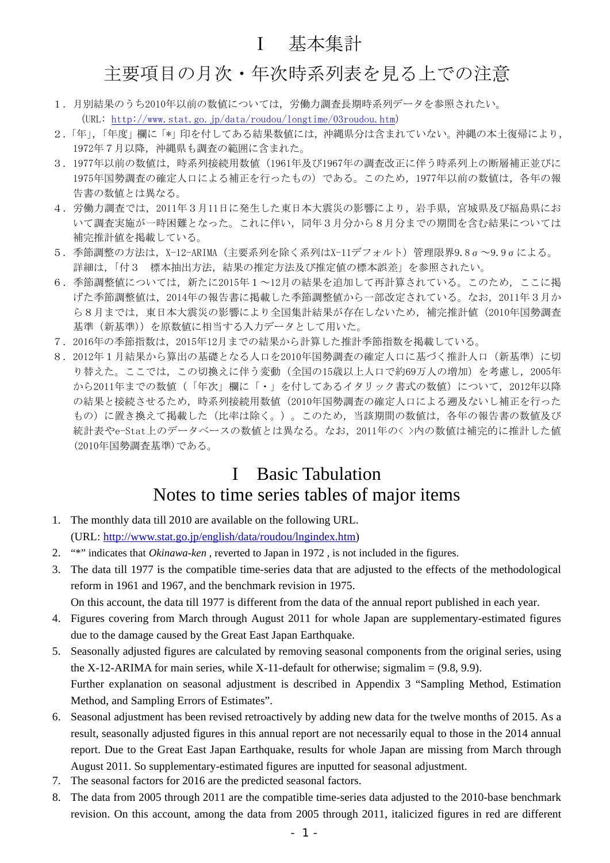## Ⅰ 基本集計

## 主要項目の月次・年次時系列表を見る上での注意

- 1.月別結果のうち2010年以前の数値については,労働力調査長期時系列データを参照されたい。 (URL: http://www.stat.go.jp/data/roudou/longtime/03roudou.htm)
- 2.「年」,「年度」欄に「\*」印を付してある結果数値には,沖縄県分は含まれていない。沖縄の本土復帰により, 1972年7月以降,沖縄県も調査の範囲に含まれた。
- 3.1977年以前の数値は,時系列接続用数値(1961年及び1967年の調査改正に伴う時系列上の断層補正並びに 1975年国勢調査の確定人口による補正を行ったもの)である。このため、1977年以前の数値は、各年の報 告書の数値とは異なる。
- 4.労働力調査では,2011年3月11日に発生した東日本大震災の影響により,岩手県,宮城県及び福島県にお いて調査実施が一時困難となった。これに伴い、同年3月分から8月分までの期間を含む結果については 補完推計値を掲載している。
- 5.季節調整の方法は,X-12-ARIMA(主要系列を除く系列はX-11デフォルト)管理限界9.8σ~9.9σによる。 詳細は、「付3 標本抽出方法、結果の推定方法及び推定値の標本誤差」を参照されたい。
- 6.季節調整値については,新たに2015年1~12月の結果を追加して再計算されている。このため,ここに掲 げた季節調整値は,2014年の報告書に掲載した季節調整値から一部改定されている。なお,2011年3月か ら8月までは,東日本大震災の影響により全国集計結果が存在しないため,補完推計値(2010年国勢調査 基準(新基準))を原数値に相当する入力データとして用いた。
- 7.2016年の季節指数は,2015年12月までの結果から計算した推計季節指数を掲載している。
- 8.2012年1月結果から算出の基礎となる人口を2010年国勢調査の確定人口に基づく推計人口(新基準)に切 り替えた。ここでは,この切換えに伴う変動(全国の15歳以上人口で約69万人の増加)を考慮し,2005年 から2011年までの数値(「年次」欄に「・」を付してあるイタリック書式の数値)について、2012年以降 の結果と接続させるため,時系列接続用数値(2010年国勢調査の確定人口による遡及ないし補正を行った もの)に置き換えて掲載した(比率は除く。)。このため,当該期間の数値は,各年の報告書の数値及び 統計表やe-Stat上のデータベースの数値とは異なる。なお、2011年の<>内の数値は補完的に推計した値 (2010年国勢調査基準)である。

## I Basic Tabulation Notes to time series tables of major items

- 1. The monthly data till 2010 are available on the following URL. (URL: http://www.stat.go.jp/english/data/roudou/lngindex.htm)
- 2. "\*" indicates that *Okinawa-ken* , reverted to Japan in 1972 , is not included in the figures.
- 3. The data till 1977 is the compatible time-series data that are adjusted to the effects of the methodological reform in 1961 and 1967, and the benchmark revision in 1975. On this account, the data till 1977 is different from the data of the annual report published in each year.
- 4. Figures covering from March through August 2011 for whole Japan are supplementary-estimated figures due to the damage caused by the Great East Japan Earthquake.
- 5. Seasonally adjusted figures are calculated by removing seasonal components from the original series, using the X-12-ARIMA for main series, while X-11-default for otherwise; sigmalim  $= (9.8, 9.9)$ . Further explanation on seasonal adjustment is described in Appendix 3 "Sampling Method, Estimation Method, and Sampling Errors of Estimates".
- 6. Seasonal adjustment has been revised retroactively by adding new data for the twelve months of 2015. As a result, seasonally adjusted figures in this annual report are not necessarily equal to those in the 2014 annual report. Due to the Great East Japan Earthquake, results for whole Japan are missing from March through August 2011. So supplementary-estimated figures are inputted for seasonal adjustment.
- 7. The seasonal factors for 2016 are the predicted seasonal factors.
- 8. The data from 2005 through 2011 are the compatible time-series data adjusted to the 2010-base benchmark revision. On this account, among the data from 2005 through 2011, italicized figures in red are different